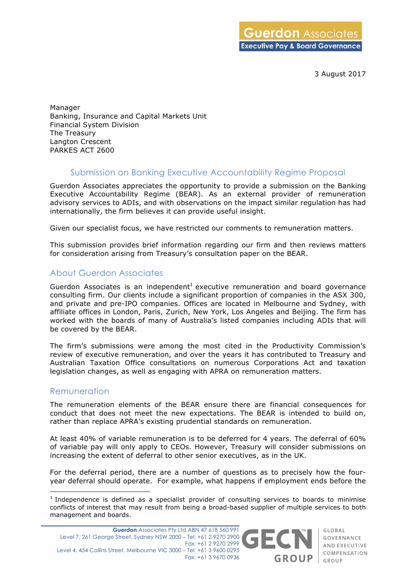3 August 2017

Manager Banking, Insurance and Capital Markets Unit Financial System Division The Treasury Langton Crescent PARKES ACT 2600

## Submission on Banking Executive Accountability Regime Proposal

Guerdon Associates appreciates the opportunity to provide a submission on the Banking Executive Accountability Regime (BEAR). As an external provider of remuneration advisory services to ADIs, and with observations on the impact similar regulation has had internationally, the firm believes it can provide useful insight.

Given our specialist focus, we have restricted our comments to remuneration matters.

This submission provides brief information regarding our firm and then reviews matters for consideration arising from Treasury's consultation paper on the BEAR.

# About Guerdon Associates

Guerdon Associates is an independent<sup>1</sup> executive remuneration and board governance consulting firm. Our clients include a significant proportion of companies in the ASX 300, and private and pre-IPO companies. Offices are located in Melbourne and Sydney, with affiliate offices in London, Paris, Zurich, New York, Los Angeles and Beijing. The firm has worked with the boards of many of Australia's listed companies including ADIs that will be covered by the BEAR.

The firm's submissions were among the most cited in the Productivity Commission's review of executive remuneration, and over the years it has contributed to Treasury and Australian Taxation Office consultations on numerous Corporations Act and taxation legislation changes, as well as engaging with APRA on remuneration matters.

## Remuneration

The remuneration elements of the BEAR ensure there are financial consequences for conduct that does not meet the new expectations. The BEAR is intended to build on, rather than replace APRA's existing prudential standards on remuneration.

At least 40% of variable remuneration is to be deferred for 4 years. The deferral of 60% of variable pay will only apply to CEOs. However, Treasury will consider submissions on increasing the extent of deferral to other senior executives, as in the UK.

For the deferral period, there are a number of questions as to precisely how the fouryear deferral should operate. For example, what happens if employment ends before the

 $1$  Independence is defined as a specialist provider of consulting services to boards to minimise conflicts of interest that may result from being a broad-based supplier of multiple services to both management and boards.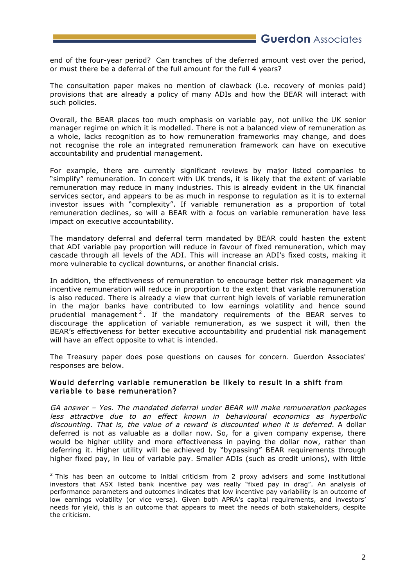end of the four-year period? Can tranches of the deferred amount vest over the period, or must there be a deferral of the full amount for the full 4 years?

The consultation paper makes no mention of clawback (i.e. recovery of monies paid) provisions that are already a policy of many ADIs and how the BEAR will interact with such policies.

Overall, the BEAR places too much emphasis on variable pay, not unlike the UK senior manager regime on which it is modelled. There is not a balanced view of remuneration as a whole, lacks recognition as to how remuneration frameworks may change, and does not recognise the role an integrated remuneration framework can have on executive accountability and prudential management.

For example, there are currently significant reviews by major listed companies to "simplify" remuneration. In concert with UK trends, it is likely that the extent of variable remuneration may reduce in many industries. This is already evident in the UK financial services sector, and appears to be as much in response to regulation as it is to external investor issues with "complexity". If variable remuneration as a proportion of total remuneration declines, so will a BEAR with a focus on variable remuneration have less impact on executive accountability.

The mandatory deferral and deferral term mandated by BEAR could hasten the extent that ADI variable pay proportion will reduce in favour of fixed remuneration, which may cascade through all levels of the ADI. This will increase an ADI's fixed costs, making it more vulnerable to cyclical downturns, or another financial crisis.

In addition, the effectiveness of remuneration to encourage better risk management via incentive remuneration will reduce in proportion to the extent that variable remuneration is also reduced. There is already a view that current high levels of variable remuneration in the major banks have contributed to low earnings volatility and hence sound prudential management<sup>2</sup>. If the mandatory requirements of the BEAR serves to discourage the application of variable remuneration, as we suspect it will, then the BEAR's effectiveness for better executive accountability and prudential risk management will have an effect opposite to what is intended.

The Treasury paper does pose questions on causes for concern. Guerdon Associates' responses are below.

#### Would deferring variable remuneration be likely to result in a shift from variable to base remuneration?

GA answer – Yes. The mandated deferral under BEAR will make remuneration packages less attractive due to an effect known in behavioural economics as hyperbolic discounting. That is, the value of a reward is discounted when it is deferred. A dollar deferred is not as valuable as a dollar now. So, for a given company expense, there would be higher utility and more effectiveness in paying the dollar now, rather than deferring it. Higher utility will be achieved by "bypassing" BEAR requirements through higher fixed pay, in lieu of variable pay. Smaller ADIs (such as credit unions), with little

 $2$  This has been an outcome to initial criticism from 2 proxy advisers and some institutional investors that ASX listed bank incentive pay was really "fixed pay in drag". An analysis of performance parameters and outcomes indicates that low incentive pay variability is an outcome of low earnings volatility (or vice versa). Given both APRA's capital requirements, and investors' needs for yield, this is an outcome that appears to meet the needs of both stakeholders, despite the criticism.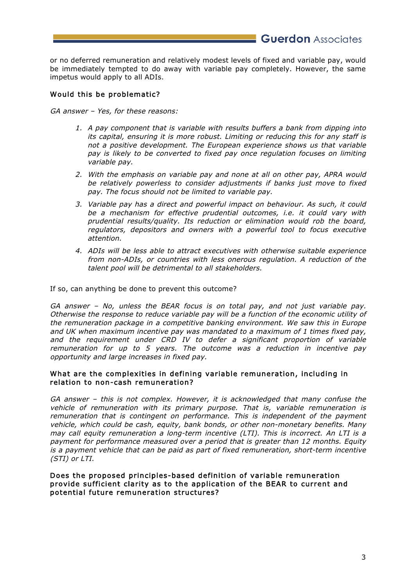**Guerdon** Associates

or no deferred remuneration and relatively modest levels of fixed and variable pay, would be immediately tempted to do away with variable pay completely. However, the same impetus would apply to all ADIs.

## Would this be problematic?

GA answer – Yes, for these reasons:

- 1. A pay component that is variable with results buffers a bank from dipping into its capital, ensuring it is more robust. Limiting or reducing this for any staff is not a positive development. The European experience shows us that variable pay is likely to be converted to fixed pay once regulation focuses on limiting variable pay.
- 2. With the emphasis on variable pay and none at all on other pay, APRA would be relatively powerless to consider adjustments if banks just move to fixed pay. The focus should not be limited to variable pay.
- 3. Variable pay has a direct and powerful impact on behaviour. As such, it could be a mechanism for effective prudential outcomes, i.e. it could vary with prudential results/quality. Its reduction or elimination would rob the board, regulators, depositors and owners with a powerful tool to focus executive attention.
- 4. ADIs will be less able to attract executives with otherwise suitable experience from non-ADIs, or countries with less onerous regulation. A reduction of the talent pool will be detrimental to all stakeholders.

If so, can anything be done to prevent this outcome?

GA answer – No, unless the BEAR focus is on total pay, and not just variable pay. Otherwise the response to reduce variable pay will be a function of the economic utility of the remuneration package in a competitive banking environment. We saw this in Europe and UK when maximum incentive pay was mandated to a maximum of 1 times fixed pay, and the requirement under CRD IV to defer <sup>a</sup> significant proportion of variable remuneration for up to 5 years. The outcome was a reduction in incentive pay opportunity and large increases in fixed pay.

#### What are the complexities in defining variable remuneration, including in relation to non-cash remuneration?

GA answer – this is not complex. However, it is acknowledged that many confuse the vehicle of remuneration with its primary purpose. That is, variable remuneration is remuneration that is contingent on performance. This is independent of the payment vehicle, which could be cash, equity, bank bonds, or other non-monetary benefits. Many may call equity remuneration a long-term incentive (LTI). This is incorrect. An LTI is a payment for performance measured over a period that is greater than 12 months. Equity is a payment vehicle that can be paid as part of fixed remuneration, short-term incentive (STI) or LTI.

Does the proposed principles-based definition of variable remuneration provide sufficient clarity as to the application of the BEAR to current and potential future remuneration structures?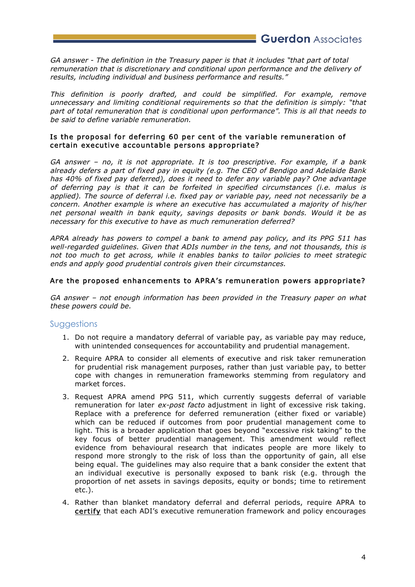**Guerdon** Associates

GA answer - The definition in the Treasury paper is that it includes "that part of total remuneration that is discretionary and conditional upon performance and the delivery of results, including individual and business performance and results."

This definition is poorly drafted, and could be simplified. For example, remove unnecessary and limiting conditional requirements so that the definition is simply: "that part of total remuneration that is conditional upon performance". This is all that needs to be said to define variable remuneration.

#### Is the proposal for deferring 60 per cent of the variable remuneration of certain executive accountable persons appropriate?

GA answer – no, it is not appropriate. It is too prescriptive. For example, if a bank already defers a part of fixed pay in equity (e.g. The CEO of Bendigo and Adelaide Bank has 40% of fixed pay deferred), does it need to defer any variable pay? One advantage of deferring pay is that it can be forfeited in specified circumstances (i.e. malus is applied). The source of deferral i.e. fixed pay or variable pay, need not necessarily be a concern. Another example is where an executive has accumulated a majority of his/her net personal wealth in bank equity, savings deposits or bank bonds. Would it be as necessary for this executive to have as much remuneration deferred?

APRA already has powers to compel a bank to amend pay policy, and its PPG 511 has well-regarded guidelines. Given that ADIs number in the tens, and not thousands, this is not too much to get across, while it enables banks to tailor policies to meet strategic ends and apply good prudential controls given their circumstances.

#### Are the proposed enhancements to APRA's remuneration powers appropriate?

GA answer – not enough information has been provided in the Treasury paper on what these powers could be.

## Suggestions

- 1. Do not require a mandatory deferral of variable pay, as variable pay may reduce, with unintended consequences for accountability and prudential management.
- 2. Require APRA to consider all elements of executive and risk taker remuneration for prudential risk management purposes, rather than just variable pay, to better cope with changes in remuneration frameworks stemming from regulatory and market forces.
- 3. Request APRA amend PPG 511, which currently suggests deferral of variable remuneration for later ex-post facto adjustment in light of excessive risk taking. Replace with a preference for deferred remuneration (either fixed or variable) which can be reduced if outcomes from poor prudential management come to light. This is a broader application that goes beyond "excessive risk taking" to the key focus of better prudential management. This amendment would reflect evidence from behavioural research that indicates people are more likely to respond more strongly to the risk of loss than the opportunity of gain, all else being equal. The guidelines may also require that a bank consider the extent that an individual executive is personally exposed to bank risk (e.g. through the proportion of net assets in savings deposits, equity or bonds; time to retirement etc.).
- 4. Rather than blanket mandatory deferral and deferral periods, require APRA to certify that each ADI's executive remuneration framework and policy encourages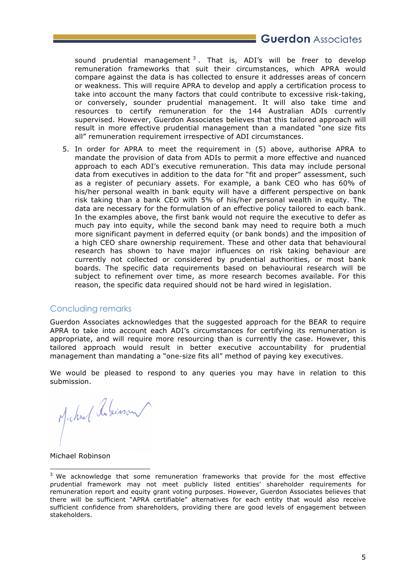**Guerdon** Associates

sound prudential management  $3$ . That is, ADI's will be freer to develop remuneration frameworks that suit their circumstances, which APRA would compare against the data is has collected to ensure it addresses areas of concern or weakness. This will require APRA to develop and apply a certification process to take into account the many factors that could contribute to excessive risk-taking, or conversely, sounder prudential management. It will also take time and resources to certify remuneration for the 144 Australian ADIs currently supervised. However, Guerdon Associates believes that this tailored approach will result in more effective prudential management than a mandated "one size fits all" remuneration requirement irrespective of ADI circumstances.

5. In order for APRA to meet the requirement in (5) above, authorise APRA to mandate the provision of data from ADIs to permit a more effective and nuanced approach to each ADI's executive remuneration. This data may include personal data from executives in addition to the data for "fit and proper" assessment, such as a register of pecuniary assets. For example, a bank CEO who has 60% of his/her personal wealth in bank equity will have a different perspective on bank risk taking than a bank CEO with 5% of his/her personal wealth in equity. The data are necessary for the formulation of an effective policy tailored to each bank. In the examples above, the first bank would not require the executive to defer as much pay into equity, while the second bank may need to require both a much more significant payment in deferred equity (or bank bonds) and the imposition of a high CEO share ownership requirement. These and other data that behavioural research has shown to have major influences on risk taking behaviour are currently not collected or considered by prudential authorities, or most bank boards. The specific data requirements based on behavioural research will be subject to refinement over time, as more research becomes available. For this reason, the specific data required should not be hard wired in legislation.

## Concluding remarks

Guerdon Associates acknowledges that the suggested approach for the BEAR to require APRA to take into account each ADI's circumstances for certifying its remuneration is appropriate, and will require more resourcing than is currently the case. However, this tailored approach would result in better executive accountability for prudential management than mandating a "one-size fits all" method of paying key executives.

We would be pleased to respond to any queries you may have in relation to this submission.

Michael Asimon

Michael Robinson

<sup>&</sup>lt;sup>3</sup> We acknowledge that some remuneration frameworks that provide for the most effective prudential framework may not meet publicly listed entities' shareholder requirements for remuneration report and equity grant voting purposes. However, Guerdon Associates believes that there will be sufficient "APRA certifiable" alternatives for each entity that would also receive sufficient confidence from shareholders, providing there are good levels of engagement between stakeholders.